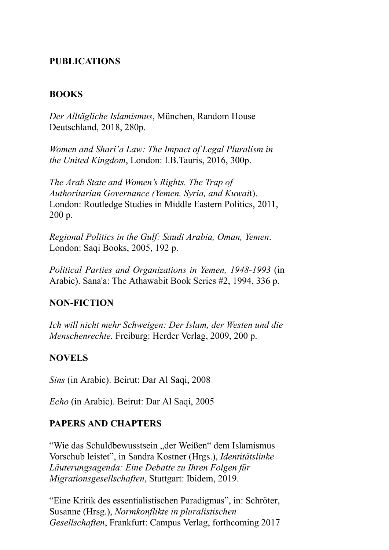#### **PUBLICATIONS**

#### **BOOKS**

*Der Alltägliche Islamismus*, München, Random House Deutschland, 2018, 280p.

*Women and Shari'a Law: The Impact of Legal Pluralism in the United Kingdom*, London: I.B.Tauris, 2016, 300p.

*The Arab State and Women's Rights. The Trap of Authoritarian Governance (Yemen, Syria, and Kuwai*t). London: Routledge Studies in Middle Eastern Politics, 2011, 200 p.

*Regional Politics in the Gulf: Saudi Arabia, Oman, Yemen*. London: Saqi Books, 2005, 192 p.

*Political Parties and Organizations in Yemen, 1948-1993* (in Arabic). Sana'a: The Athawabit Book Series #2, 1994, 336 p.

#### **NON-FICTION**

*Ich will nicht mehr Schweigen: Der Islam, der Westen und die Menschenrechte.* Freiburg: Herder Verlag, 2009, 200 p.

#### **NOVELS**

*Sins* (in Arabic). Beirut: Dar Al Saqi, 2008

*Echo* (in Arabic). Beirut: Dar Al Saqi, 2005

#### **PAPERS AND CHAPTERS**

"Wie das Schuldbewusstsein "der Weißen" dem Islamismus Vorschub leistet", in Sandra Kostner (Hrgs.), *Identitätslinke Läuterungsagenda: Eine Debatte zu Ihren Folgen für Migrationsgesellschaften*, Stuttgart: Ibidem, 2019.

"Eine Kritik des essentialistischen Paradigmas", in: Schröter, Susanne (Hrsg.), *Normkonflikte in pluralistischen Gesellschaften*, Frankfurt: Campus Verlag, forthcoming 2017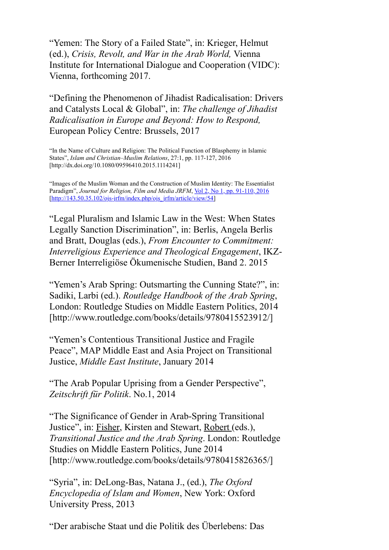"Yemen: The Story of a Failed State", in: Krieger, Helmut (ed.), *Crisis, Revolt, and War in the Arab World,* Vienna Institute for International Dialogue and Cooperation (VIDC): Vienna, forthcoming 2017.

"Defining the Phenomenon of Jihadist Radicalisation: Drivers and Catalysts Local & Global", in: *The challenge of Jihadist Radicalisation in Europe and Beyond: How to Respond,* European Policy Centre: Brussels, 2017

"In the Name of Culture and Religion: The Political Function of Blasphemy in Islamic States", *Islam and Christian–Muslim Relations*, 27:1, pp. 117-127, 2016 [http://dx.doi.org/10.1080/09596410.2015.1114241]

"Images of the Muslim Woman and the Construction of Muslim Identity: The Essentialist Paradigm", *Journal for Religion, Film and Media JRFM*, *Vol* 2, No 1, pp. 91-110, 2016 [http://143.50.35.102/ojs-jrfm/index.php/ojs\_jrfm/article/view/54]

"Legal Pluralism and Islamic Law in the West: When States Legally Sanction Discrimination", in: Berlis, Angela Berlis and Bratt, Douglas (eds.), *From Encounter to Commitment: Interreligious Experience and Theological Engagement*, IKZ-Berner Interreligiöse Ökumenische Studien, Band 2. 2015

"Yemen's Arab Spring: Outsmarting the Cunning State?", in: Sadiki, Larbi (ed.). *Routledge Handbook of the Arab Spring*, London: Routledge Studies on Middle Eastern Politics, 2014 [http://www.routledge.com/books/details/9780415523912/]

"Yemen's Contentious Transitional Justice and Fragile Peace", MAP Middle East and Asia Project on Transitional Justice, *Middle East Institute*, January 2014

"The Arab Popular Uprising from a Gender Perspective", *Zeitschrift für Politik*. No.1, 2014

"The Significance of Gender in Arab-Spring Transitional Justice", in: Fisher, Kirsten and Stewart, Robert (eds.), *Transitional Justice and the Arab Spring*. London: Routledge Studies on Middle Eastern Politics, June 2014 [http://www.routledge.com/books/details/9780415826365/]

"Syria", in: DeLong-Bas, Natana J., (ed.), *The Oxford Encyclopedia of Islam and Women*, New York: Oxford University Press, 2013

"Der arabische Staat und die Politik des Überlebens: Das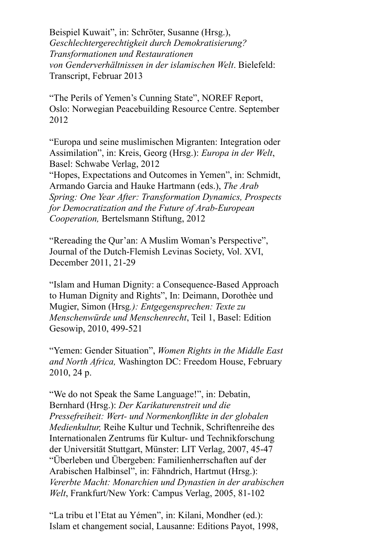Beispiel Kuwait", in: Schröter, Susanne (Hrsg.), *Geschlechtergerechtigkeit durch Demokratisierung? Transformationen und Restaurationen von Genderverhältnissen in der islamischen Welt*. Bielefeld: Transcript, Februar 2013

"The Perils of Yemen's Cunning State", NOREF Report, Oslo: Norwegian Peacebuilding Resource Centre. September 2012

"Europa und seine muslimischen Migranten: Integration oder Assimilation", in: Kreis, Georg (Hrsg.): *Europa in der Welt*, Basel: Schwabe Verlag, 2012

"Hopes, Expectations and Outcomes in Yemen", in: Schmidt, Armando Garcia and Hauke Hartmann (eds.), *The Arab Spring: One Year After: Transformation Dynamics, Prospects for Democratization and the Future of Arab-European Cooperation,* Bertelsmann Stiftung, 2012

"Rereading the Qur'an: A Muslim Woman's Perspective", Journal of the Dutch-Flemish Levinas Society, Vol. XVI, December 2011, 21-29

"Islam and Human Dignity: a Consequence-Based Approach to Human Dignity and Rights", In: Deimann, Dorothèe und Mugier, Simon (Hrsg*.): Entgegensprechen: Texte zu Menschenwürde und Menschenrecht*, Teil 1, Basel: Edition Gesowip, 2010, 499-521

"Yemen: Gender Situation", *Women Rights in the Middle East and North Africa,* Washington DC: Freedom House, February 2010, 24 p.

"We do not Speak the Same Language!", in: Debatin, Bernhard (Hrsg.): *Der Karikaturenstreit und die Pressefreiheit: Wert- und Normenkonflikte in der globalen Medienkultur,* Reihe Kultur und Technik, Schriftenreihe des Internationalen Zentrums für Kultur- und Technikforschung der Universität Stuttgart, Münster: LIT Verlag, 2007, 45-47 "Überleben und Übergeben: Familienherrschaften auf der Arabischen Halbinsel", in: Fähndrich, Hartmut (Hrsg.): *Vererbte Macht: Monarchien und Dynastien in der arabischen Welt*, Frankfurt/New York: Campus Verlag, 2005, 81-102

"La tribu et l'Etat au Yémen", in: Kilani, Mondher (ed.): Islam et changement social, Lausanne: Editions Payot, 1998,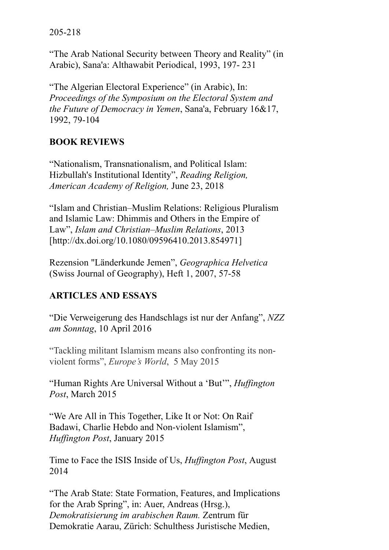"The Arab National Security between Theory and Reality" (in Arabic), Sana'a: Althawabit Periodical, 1993, 197- 231

"The Algerian Electoral Experience" (in Arabic), In: *Proceedings of the Symposium on the Electoral System and the Future of Democracy in Yemen*, Sana'a, February 16&17, 1992, 79-104

# **BOOK REVIEWS**

"Nationalism, Transnationalism, and Political Islam: Hizbullah's Institutional Identity", *Reading Religion, American Academy of Religion,* June 23, 2018

"Islam and Christian–Muslim Relations: Religious Pluralism and Islamic Law: Dhimmis and Others in the Empire of Law", *Islam and Christian–Muslim Relations*, 2013 [http://dx.doi.org/10.1080/09596410.2013.854971]

Rezension "Länderkunde Jemen", *Geographica Helvetica* (Swiss Journal of Geography), Heft 1, 2007, 57-58

# **ARTICLES AND ESSAYS**

"Die Verweigerung des Handschlags ist nur der Anfang", *NZZ am Sonntag*, 10 April 2016

"Tackling militant Islamism means also confronting its nonviolent forms", *Europe's World*, 5 May 2015

"Human Rights Are Universal Without a 'But'", *Huffington Post*, March 2015

"We Are All in This Together, Like It or Not: On Raif Badawi, Charlie Hebdo and Non-violent Islamism", *Huffington Post*, January 2015

Time to Face the ISIS Inside of Us, *Huffington Post*, August 2014

"The Arab State: State Formation, Features, and Implications for the Arab Spring", in: Auer, Andreas (Hrsg.), *Demokratisierung im arabischen Raum.* Zentrum für Demokratie Aarau, Zürich: Schulthess Juristische Medien,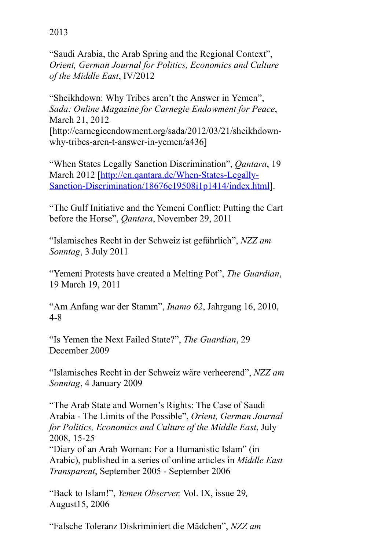"Saudi Arabia, the Arab Spring and the Regional Context", *Orient, German Journal for Politics, Economics and Culture of the Middle East*, IV/2012

"Sheikhdown: Why Tribes aren't the Answer in Yemen", *Sada: Online Magazine for Carnegie Endowment for Peace*, March 21, 2012 [http://carnegieendowment.org/sada/2012/03/21/sheikhdownwhy-tribes-aren-t-answer-in-yemen/a436]

"When States Legally Sanction Discrimination", *Qantara*, 19 March 2012 [http://en.qantara.de/When-States-Legally-Sanction-Discrimination/18676c19508i1p1414/index.html].

"The Gulf Initiative and the Yemeni Conflict: Putting the Cart before the Horse", *Qantara*, November 29, 2011

"Islamisches Recht in der Schweiz ist gefährlich", *NZZ am Sonntag*, 3 July 2011

"Yemeni Protests have created a Melting Pot", *The Guardian*, 19 March 19, 2011

"Am Anfang war der Stamm", *Inamo 62*, Jahrgang 16, 2010, 4-8

"Is Yemen the Next Failed State?", *The Guardian*, 29 December 2009

"Islamisches Recht in der Schweiz wäre verheerend", *NZZ am Sonntag*, 4 January 2009

"The Arab State and Women's Rights: The Case of Saudi Arabia - The Limits of the Possible", *Orient, German Journal for Politics, Economics and Culture of the Middle East*, July 2008, 15-25

"Diary of an Arab Woman: For a Humanistic Islam" (in Arabic), published in a series of online articles in *Middle East Transparent*, September 2005 - September 2006

"Back to Islam!", *Yemen Observer,* Vol. IX, issue 29*,* August15, 2006

"Falsche Toleranz Diskriminiert die Mädchen", *NZZ am*

# 2013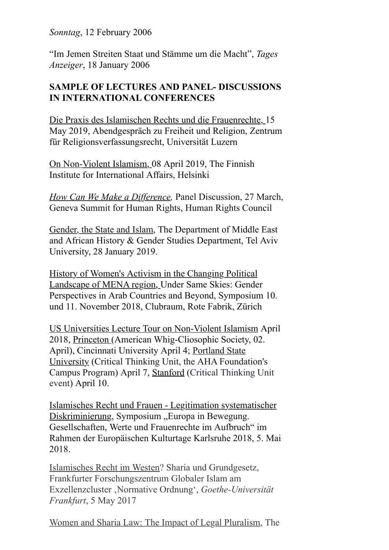*Sonntag*, 12 February 2006

"Im Jemen Streiten Staat und Stämme um die Macht", *Tages Anzeiger*, 18 January 2006

## **SAMPLE OF LECTURES AND PANEL- DISCUSSIONS IN INTERNATIONAL CONFERENCES**

Die Praxis des Islamischen Rechts und die Frauenrechte, 15 May 2019, Abendgespräch zu Freiheit und Religion, Zentrum für Religionsverfassungsrecht, Universität Luzern

On Non-Violent Islamism, 08 April 2019, The Finnish Institute for International Affairs, Helsinki

*How Can We Make a Difference,* Panel Discussion, 27 March, Geneva Summit for Human Rights, Human Rights Council

Gender, the State and Islam, The Department of Middle East and African History & Gender Studies Department, Tel Aviv University, 28 January 2019.

History of Women's Activism in the Changing Political Landscape of MENA region, Under Same Skies: Gender Perspectives in Arab Countries and Beyond, Symposium 10. und 11. November 2018, Clubraum, Rote Fabrik, Zürich

US Universities Lecture Tour on Non-Violent Islamism April 2018, Princeton (American Whig-Cliosophic Society, 02. April), Cincinnati University April 4; Portland State University (Critical Thinking Unit, the AHA Foundation's Campus Program) April 7, Stanford (Critical Thinking Unit event) April 10.

Islamisches Recht und Frauen - Legitimation systematischer Diskriminierung, Symposium "Europa in Bewegung. Gesellschaften, Werte und Frauenrechte im Aufbruch" im Rahmen der Europäischen Kulturtage Karlsruhe 2018, 5. Mai 2018.

Islamisches Recht im Westen? Sharia und Grundgesetz, Frankfurter Forschungszentrum Globaler Islam am Exzellenzcluster 'Normative Ordnung', *Goethe-Universität Frankfurt*, 5 May 2017

Women and Sharia Law: The Impact of Legal Pluralism, The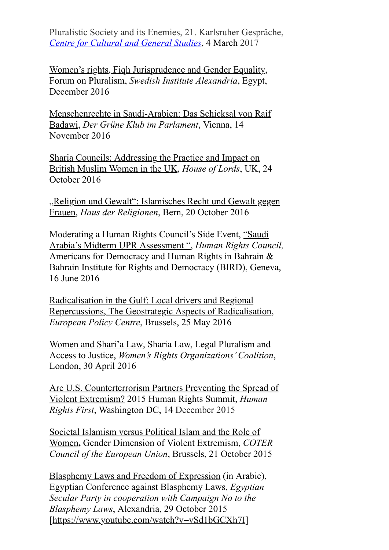Pluralistic Society and its Enemies, 21. Karlsruher Gespräche, *Centre for Cultural and General Studies*, 4 March 2017

Women's rights, Fiqh Jurisprudence and Gender Equality, Forum on Pluralism, *Swedish Institute Alexandria*, Egypt, December 2016

Menschenrechte in Saudi-Arabien: Das Schicksal von Raif Badawi, *Der Grüne Klub im Parlament*, Vienna, 14 November 2016

Sharia Councils: Addressing the Practice and Impact on British Muslim Women in the UK, *House of Lords*, UK, 24 October 2016

"Religion und Gewalt": Islamisches Recht und Gewalt gegen Frauen, *Haus der Religionen*, Bern, 20 October 2016

Moderating a Human Rights Council's Side Event, "Saudi Arabia's Midterm UPR Assessment ", *Human Rights Council,* Americans for Democracy and Human Rights in Bahrain & Bahrain Institute for Rights and Democracy (BIRD), Geneva, 16 June 2016

Radicalisation in the Gulf: Local drivers and Regional Repercussions, The Geostrategic Aspects of Radicalisation, *European Policy Centre*, Brussels, 25 May 2016

Women and Shari'a Law, Sharia Law, Legal Pluralism and Access to Justice, *Women's Rights Organizations' Coalition*, London, 30 April 2016

Are U.S. Counterterrorism Partners Preventing the Spread of Violent Extremism? 2015 Human Rights Summit, *Human Rights First*, Washington DC, 14 December 2015

Societal Islamism versus Political Islam and the Role of Women**,** Gender Dimension of Violent Extremism, *COTER Council of the European Union*, Brussels, 21 October 2015

Blasphemy Laws and Freedom of Expression (in Arabic), Egyptian Conference against Blasphemy Laws, *Egyptian Secular Party in cooperation with Campaign No to the Blasphemy Laws*, Alexandria, 29 October 2015 [https://www.youtube.com/watch?v=vSd1bGCXh7I]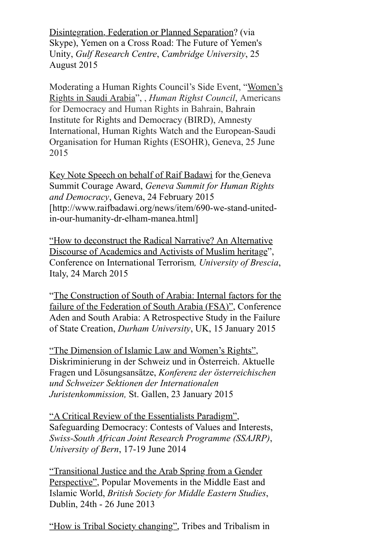Disintegration, Federation or Planned Separation? (via Skype), Yemen on a Cross Road: The Future of Yemen's Unity, *Gulf Research Centre*, *Cambridge University*, 25 August 2015

Moderating a Human Rights Council's Side Event, "Women's Rights in Saudi Arabia", , *Human Righst Council*, Americans for Democracy and Human Rights in Bahrain, Bahrain Institute for Rights and Democracy (BIRD), Amnesty International, Human Rights Watch and the European-Saudi Organisation for Human Rights (ESOHR), Geneva, 25 June 2015

Key Note Speech on behalf of Raif Badawi for the Geneva Summit Courage Award, *Geneva Summit for Human Rights and Democracy*, Geneva, 24 February 2015 [http://www.raifbadawi.org/news/item/690-we-stand-unitedin-our-humanity-dr-elham-manea.html]

"How to deconstruct the Radical Narrative? An Alternative Discourse of Academics and Activists of Muslim heritage", Conference on International Terrorism*, University of Brescia*, Italy, 24 March 2015

"The Construction of South of Arabia: Internal factors for the failure of the Federation of South Arabia (FSA)", Conference Aden and South Arabia: A Retrospective Study in the Failure of State Creation, *Durham University*, UK, 15 January 2015

"The Dimension of Islamic Law and Women's Rights", Diskriminierung in der Schweiz und in Österreich. Aktuelle Fragen und Lösungsansätze, *Konferenz der österreichischen und Schweizer Sektionen der Internationalen Juristenkommission,* St. Gallen, 23 January 2015

"A Critical Review of the Essentialists Paradigm", Safeguarding Democracy: Contests of Values and Interests, *Swiss-South African Joint Research Programme (SSAJRP)*, *University of Bern*, 17-19 June 2014

"Transitional Justice and the Arab Spring from a Gender Perspective", Popular Movements in the Middle East and Islamic World, *British Society for Middle Eastern Studies*, Dublin, 24th - 26 June 2013

"How is Tribal Society changing", Tribes and Tribalism in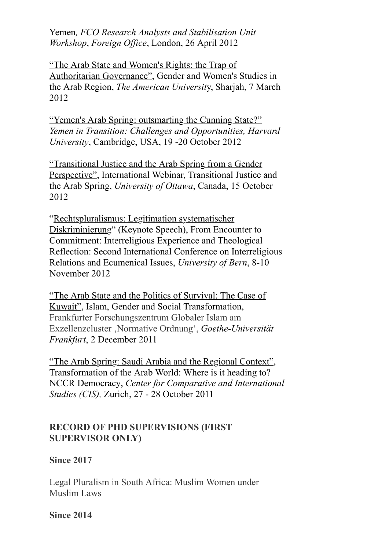Yemen*, FCO Research Analysts and Stabilisation Unit Workshop*, *Foreign Office*, London, 26 April 2012

"The Arab State and Women's Rights: the Trap of Authoritarian Governance", Gender and Women's Studies in the Arab Region, *The American Universit*y, Sharjah, 7 March 2012

"Yemen's Arab Spring: outsmarting the Cunning State?" *Yemen in Transition: Challenges and Opportunities, Harvard University*, Cambridge, USA, 19 -20 October 2012

"Transitional Justice and the Arab Spring from a Gender Perspective", International Webinar, Transitional Justice and the Arab Spring, *University of Ottawa*, Canada, 15 October 2012

"Rechtspluralismus: Legitimation systematischer Diskriminierung" (Keynote Speech), From Encounter to Commitment: Interreligious Experience and Theological Reflection: Second International Conference on Interreligious Relations and Ecumenical Issues, *University of Bern*, 8-10 November 2012

"The Arab State and the Politics of Survival: The Case of Kuwait", Islam, Gender and Social Transformation, Frankfurter Forschungszentrum Globaler Islam am Exzellenzcluster 'Normative Ordnung', *Goethe-Universität Frankfurt*, 2 December 2011

"The Arab Spring: Saudi Arabia and the Regional Context", Transformation of the Arab World: Where is it heading to? NCCR Democracy, *Center for Comparative and International Studies (CIS),* Zurich, 27 - 28 October 2011

### **RECORD OF PHD SUPERVISIONS (FIRST SUPERVISOR ONLY)**

### **Since 2017**

Legal Pluralism in South Africa: Muslim Women under Muslim Laws

#### **Since 2014**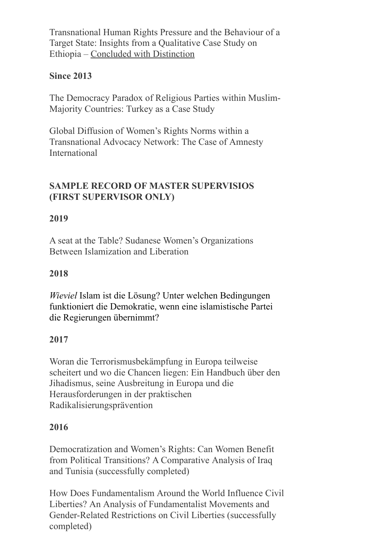Transnational Human Rights Pressure and the Behaviour of a Target State: Insights from a Qualitative Case Study on Ethiopia – Concluded with Distinction

# **Since 2013**

The Democracy Paradox of Religious Parties within Muslim-Majority Countries: Turkey as a Case Study

Global Diffusion of Women's Rights Norms within a Transnational Advocacy Network: The Case of Amnesty International

# **SAMPLE RECORD OF MASTER SUPERVISIOS (FIRST SUPERVISOR ONLY)**

# **2019**

A seat at the Table? Sudanese Women's Organizations Between Islamization and Liberation

## **2018**

*Wieviel* Islam ist die Lösung? Unter welchen Bedingungen funktioniert die Demokratie, wenn eine islamistische Partei die Regierungen übernimmt?

### **2017**

Woran die Terrorismusbekämpfung in Europa teilweise scheitert und wo die Chancen liegen: Ein Handbuch über den Jihadismus, seine Ausbreitung in Europa und die Herausforderungen in der praktischen Radikalisierungsprävention

### **2016**

Democratization and Women's Rights: Can Women Benefit from Political Transitions? A Comparative Analysis of Iraq and Tunisia (successfully completed)

How Does Fundamentalism Around the World Influence Civil Liberties? An Analysis of Fundamentalist Movements and Gender-Related Restrictions on Civil Liberties (successfully completed)